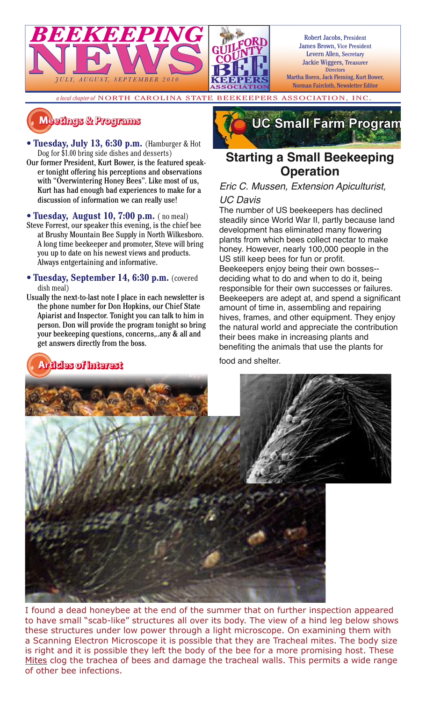

Robert Jacobs, President James Brown, Vice President Levern Allen, Secretary Jackie Wiggers, Treasurer **Directors** 

Martha Boren, Jack Fleming, Kurt Bower, Norman Faircloth, Newsletter Editor

*a local chapter of* NORTH CAROLINA STATE BEEKEEPERS ASSOCIATION, INC.

#### $M$ eetings & Programs

- **Tuesday, July 13, 6:30 p.m.** (Hamburger & Hot Dog for \$1.00 bring side dishes and desserts)
- Our former President, Kurt Bower, is the featured speaker tonight offering his perceptions and observations with "Overwintering Honey Bees". Like most of us, Kurt has had enough bad experiences to make for a discussion of information we can really use!
- **Tuesday, August 10, 7:00 p.m.** ( no meal) Steve Forrest, our speaker this evening, is the chief bee at Brushy Mountain Bee Supply in North Wilkesboro. A long time beekeeper and promoter, Steve will bring you up to date on his newest views and products. Always entgertaining and informative.
- **Tuesday, September 14, 6:30 p.m.** (covered dish meal)
- Usually the next-to-last note I place in each newsletter is the phone number for Don Hopkins, our Chief State Apiarist and Inspector. Tonight you can talk to him in person. Don will provide the program tonight so bring your beekeeping questions, concerns,..any & all and get answers directly from the boss.

**������������������������������������**



#### **Starting a Small Beekeeping Operation**

#### Eric C. Mussen, Extension Apiculturist,

#### UC Davis

The number of US beekeepers has declined steadily since World War II, partly because land development has eliminated many flowering plants from which bees collect nectar to make honey. However, nearly 100,000 people in the US still keep bees for fun or profit. Beekeepers enjoy being their own bosses- deciding what to do and when to do it, being responsible for their own successes or failures. Beekeepers are adept at, and spend a significant amount of time in, assembling and repairing hives, frames, and other equipment. They enjoy the natural world and appreciate the contribution their bees make in increasing plants and benefiting the animals that use the plants for food and shelter.



I found a dead honeybee at the end of the summer that on further inspection appeared to have small "scab-like" structures all over its body. The view of a hind leg below shows these structures under low power through a light microscope. On examining them with a Scanning Electron Microscope it is possible that they are Tracheal mites. The body size is right and it is possible they left the body of the bee for a more promising host. These Mites clog the trachea of bees and damage the tracheal walls. This permits a wide range of other bee infections.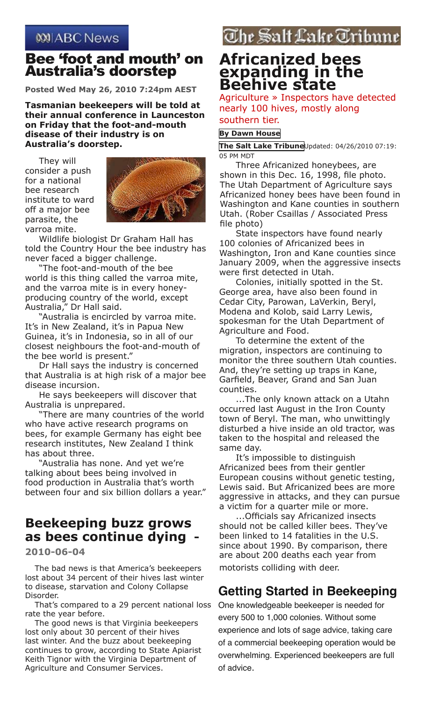#### **WIABC News**

#### Bee 'foot and mouth' on Australia's doorstep

**Posted Wed May 26, 2010 7:24pm AEST**

**Tasmanian beekeepers will be told at their annual conference in Launceston on Friday that the foot-and-mouth disease of their industry is on Australia's doorstep.**

They will consider a push for a national bee research institute to ward off a major bee parasite, the varroa mite.



Wildlife biologist Dr Graham Hall has told the Country Hour the bee industry has never faced a bigger challenge.

"The foot-and-mouth of the bee world is this thing called the varroa mite, and the varroa mite is in every honeyproducing country of the world, except Australia," Dr Hall said.

"Australia is encircled by varroa mite. It's in New Zealand, it's in Papua New Guinea, it's in Indonesia, so in all of our closest neighbours the foot-and-mouth of the bee world is present."

Dr Hall says the industry is concerned that Australia is at high risk of a major bee disease incursion.

He says beekeepers will discover that Australia is unprepared.

"There are many countries of the world who have active research programs on bees, for example Germany has eight bee research institutes, New Zealand I think has about three.

"Australia has none. And yet we're talking about bees being involved in food production in Australia that's worth between four and six billion dollars a year."

#### **Beekeeping buzz grows as bees continue dying -**

**2010-06-04**

The bad news is that America's beekeepers lost about 34 percent of their hives last winter to disease, starvation and Colony Collapse Disorder.

That's compared to a 29 percent national loss rate the year before.

The good news is that Virginia beekeepers lost only about 30 percent of their hives last winter. And the buzz about beekeeping continues to grow, according to State Apiarist Keith Tignor with the Virginia Department of Agriculture and Consumer Services.

## The Salt Lake Tribune

#### **Africanized bees expanding in the Beehive state**

Agriculture » Inspectors have detected nearly 100 hives, mostly along southern tier.

#### **[By Dawn House](mailto:dawn@sltrib.com?subject=Salt%20Lake%20Tribune:%20Africanized%20bees%20expanding%20in%20the%20Beehive%20state)**

**[The Salt Lake Tribune](mailto:dawn@sltrib.com?subject=Salt%20Lake%20Tribune:%20Africanized%20bees%20expanding%20in%20the%20Beehive%20state)**Updated: 04/26/2010 07:19: 05 PM MDT

Three Africanized honeybees, are shown in this Dec. 16, 1998, file photo. The Utah Department of Agriculture says Africanized honey bees have been found in Washington and Kane counties in southern Utah. (Rober Csaillas / Associated Press file photo)

State inspectors have found nearly 100 colonies of Africanized bees in Washington, Iron and Kane counties since January 2009, when the aggressive insects were first detected in Utah.

Colonies, initially spotted in the St. George area, have also been found in Cedar City, Parowan, LaVerkin, Beryl, Modena and Kolob, said Larry Lewis, spokesman for the Utah Department of Agriculture and Food.

To determine the extent of the migration, inspectors are continuing to monitor the three southern Utah counties. And, they're setting up traps in Kane, Garfield, Beaver, Grand and San Juan counties.

...The only known attack on a Utahn occurred last August in the Iron County town of Beryl. The man, who unwittingly disturbed a hive inside an old tractor, was taken to the hospital and released the same day.

It's impossible to distinguish Africanized bees from their gentler European cousins without genetic testing, Lewis said. But Africanized bees are more aggressive in attacks, and they can pursue a victim for a quarter mile or more.

...Officials say Africanized insects should not be called killer bees. They've been linked to 14 fatalities in the U.S. since about 1990. By comparison, there are about 200 deaths each year from motorists colliding with deer.

#### **Getting Started in Beekeeping**

One knowledgeable beekeeper is needed for every 500 to 1,000 colonies. Without some experience and lots of sage advice, taking care of a commercial beekeeping operation would be overwhelming. Experienced beekeepers are full of advice.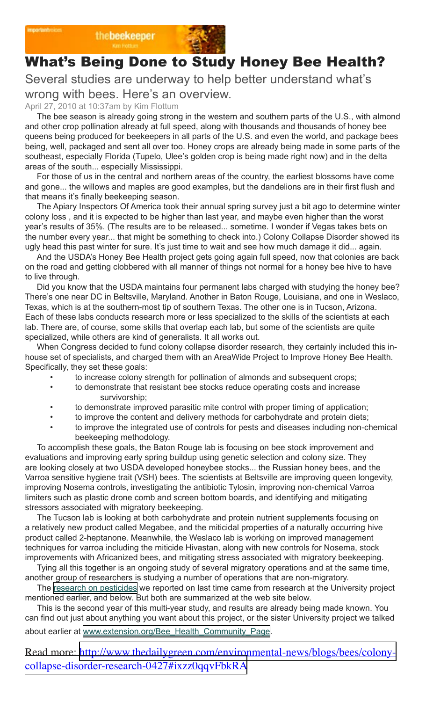

# What's Being Done to Study Honey Bee Health?

Several studies are underway to help better understand what's wrong with bees. Here's an overview.

April 27, 2010 at 10:37am by Kim Flottum

The bee season is already going strong in the western and southern parts of the U.S., with almond and other crop pollination already at full speed, along with thousands and thousands of honey bee queens being produced for beekeepers in all parts of the U.S. and even the world, and package bees being, well, packaged and sent all over too. Honey crops are already being made in some parts of the southeast, especially Florida (Tupelo, Ulee's golden crop is being made right now) and in the delta areas of the south... especially Mississippi.

For those of us in the central and northern areas of the country, the earliest blossoms have come and gone... the willows and maples are good examples, but the dandelions are in their first flush and that means it's finally beekeeping season.

The Apiary Inspectors Of America took their annual spring survey just a bit ago to determine winter colony loss , and it is expected to be higher than last year, and maybe even higher than the worst year's results of 35%. (The results are to be released... sometime. I wonder if Vegas takes bets on the number every year... that might be something to check into.) Colony Collapse Disorder showed its ugly head this past winter for sure. It's just time to wait and see how much damage it did... again.

And the USDA's Honey Bee Health project gets going again full speed, now that colonies are back on the road and getting clobbered with all manner of things not normal for a honey bee hive to have to live through.

Did you know that the USDA maintains four permanent labs charged with studying the honey bee? There's one near DC in Beltsville, Maryland. Another in Baton Rouge, Louisiana, and one in Weslaco, Texas, which is at the southern-most tip of southern Texas. The other one is in Tucson, Arizona. Each of these labs conducts research more or less specialized to the skills of the scientists at each lab. There are, of course, some skills that overlap each lab, but some of the scientists are quite specialized, while others are kind of generalists. It all works out.

When Congress decided to fund colony collapse disorder research, they certainly included this inhouse set of specialists, and charged them with an AreaWide Project to Improve Honey Bee Health. Specifically, they set these goals:

- to increase colony strength for pollination of almonds and subsequent crops;
- to demonstrate that resistant bee stocks reduce operating costs and increase survivorship;
- to demonstrate improved parasitic mite control with proper timing of application;
- to improve the content and delivery methods for carbohydrate and protein diets;
- to improve the integrated use of controls for pests and diseases including non-chemical beekeeping methodology.

To accomplish these goals, the Baton Rouge lab is focusing on bee stock improvement and evaluations and improving early spring buildup using genetic selection and colony size. They are looking closely at two USDA developed honeybee stocks... the Russian honey bees, and the Varroa sensitive hygiene trait (VSH) bees. The scientists at Beltsville are improving queen longevity, improving Nosema controls, investigating the antibiotic Tylosin, improving non-chemical Varroa limiters such as plastic drone comb and screen bottom boards, and identifying and mitigating stressors associated with migratory beekeeping.

The Tucson lab is looking at both carbohydrate and protein nutrient supplements focusing on a relatively new product called Megabee, and the miticidal properties of a naturally occurring hive product called 2-heptanone. Meanwhile, the Weslaco lab is working on improved management techniques for varroa including the miticide Hivastan, along with new controls for Nosema, stock improvements with Africanized bees, and mitigating stress associated with migratory beekeeping.

Tying all this together is an ongoing study of several migratory operations and at the same time, another group of researchers is studying a number of operations that are non-migratory.

The [research on pesticides](http://www.thedailygreen.com/environmental-news/blogs/bees/pesticides-honey-bees) we reported on last time came from research at the University project mentioned earlier, and below. But both are summarized at the web site below.

This is the second year of this multi-year study, and results are already being made known. You can find out just about anything you want about this project, or the sister University project we talked about earlier at [www.extension.org/Bee\\_Health\\_Community\\_Page](http://www.extension.org/pages/Bee_Health_Community_Page).

Read more: [http://www.thedailygreen.com/environmental-news/blogs/bees/colony](http://www.thedailygreen.com/environmental-news/blogs/bees/colony-collapse-disorder-research-0427#ixzz0qqvFbkRA)[collapse-disorder-research-0427#ixzz0qqvFbkRA](http://www.thedailygreen.com/environmental-news/blogs/bees/colony-collapse-disorder-research-0427#ixzz0qqvFbkRA)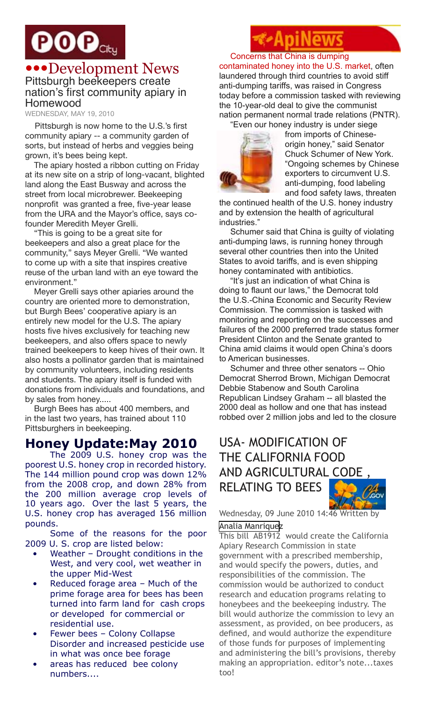# $\mathbf{POO}_\mathrm{City}$

### •••Development News Pittsburgh beekeepers create nation's first community apiary in Homewood

WEDNESDAY, MAY 19, 2010

Pittsburgh is now home to the U.S.'s first community apiary -- a community garden of sorts, but instead of herbs and veggies being grown, it's bees being kept.

The apiary hosted a ribbon cutting on Friday at its new site on a strip of long-vacant, blighted land along the East Busway and across the street from local microbrewer. Beekeeping nonprofit was granted a free, five-year lease from the URA and the Mayor's office, says cofounder Meredith Meyer Grelli.

"This is going to be a great site for beekeepers and also a great place for the community," says Meyer Grelli. "We wanted to come up with a site that inspires creative reuse of the urban land with an eye toward the environment."

Meyer Grelli says other apiaries around the country are oriented more to demonstration, but Burgh Bees' cooperative apiary is an entirely new model for the U.S. The apiary hosts five hives exclusively for teaching new beekeepers, and also offers space to newly trained beekeepers to keep hives of their own. It also hosts a pollinator garden that is maintained by community volunteers, including residents and students. The apiary itself is funded with donations from individuals and foundations, and by sales from honey.....

Burgh Bees has about 400 members, and in the last two years, has trained about 110 Pittsburghers in beekeeping.

#### **Honey Update:May 2010**

The 2009 U.S. honey crop was the poorest U.S. honey crop in recorded history. The 144 million pound crop was down 12% from the 2008 crop, and down 28% from the 200 million average crop levels of 10 years ago. Over the last 5 years, the U.S. honey crop has averaged 156 million pounds.

Some of the reasons for the poor 2009 U. S. crop are listed below:

- Weather  $-$  Drought conditions in the West, and very cool, wet weather in the upper Mid-West
- Reduced forage area Much of the prime forage area for bees has been turned into farm land for cash crops or developed for commercial or residential use.
- Fewer bees Colony Collapse Disorder and increased pesticide use in what was once bee forage
- areas has reduced bee colony numbers....

Concerns that China is dumping contaminated honey into the U.S. market, often laundered through third countries to avoid stiff anti-dumping tariffs, was raised in Congress today before a commission tasked with reviewing the 10-year-old deal to give the communist nation permanent normal trade relations (PNTR). "Even our honey industry is under siege



from imports of Chineseorigin honey," said Senator Chuck Schumer of New York. "Ongoing schemes by Chinese exporters to circumvent U.S. anti-dumping, food labeling and food safety laws, threaten

the continued health of the U.S. honey industry and by extension the health of agricultural industries."

Schumer said that China is guilty of violating anti-dumping laws, is running honey through several other countries then into the United States to avoid tariffs, and is even shipping honey contaminated with antibiotics.

"It's just an indication of what China is doing to flaunt our laws," the Democrat told the U.S.-China Economic and Security Review Commission. The commission is tasked with monitoring and reporting on the successes and failures of the 2000 preferred trade status former President Clinton and the Senate granted to China amid claims it would open China's doors to American businesses.

Schumer and three other senators -- Ohio Democrat Sherrod Brown, Michigan Democrat Debbie Stabenow and South Carolina Republican Lindsey Graham -- all blasted the 2000 deal as hollow and one that has instead robbed over 2 million jobs and led to the closure

# USA- MODIFICATION OF THE CALIFORNIA FOOD AND AGRICULTURAL CODE , RELATING TO BEES

Wednesday, 09 June 2010 14:46 Written by

#### [Analia Manrique](http://www.apinews.com/en/component/k2/itemlist/user/64-analiamanriquez)z

This bill AB1912 would create the California Apiary Research Commission in state government with a prescribed membership, and would specify the powers, duties, and responsibilities of the commission. The commission would be authorized to conduct research and education programs relating to honeybees and the beekeeping industry. The bill would authorize the commission to levy an assessment, as provided, on bee producers, as defined, and would authorize the expenditure of those funds for purposes of implementing and administering the bill's provisions, thereby making an appropriation. editor's note...taxes too!